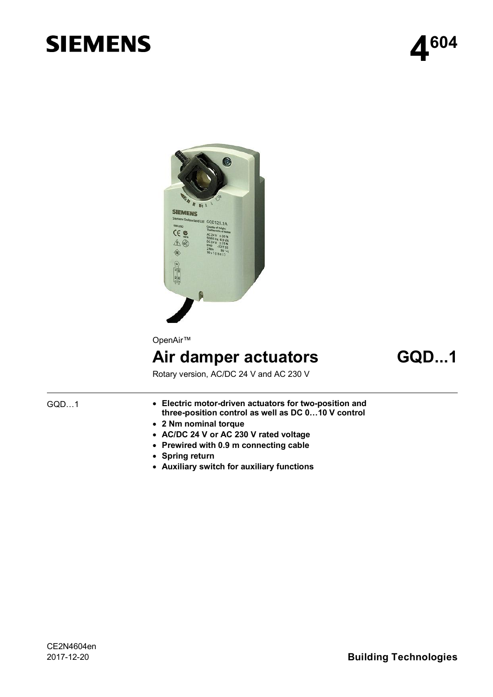# **SIEMENS**





OpenAir™

# **Air damper actuators GQD...1**

Rotary version, AC/DC 24 V and AC 230 V

# GQD…1

- · **Electric motor-driven actuators for two-position and three-position control as well as DC 0…10 V control**
- · **2 Nm nominal torque**
- · **AC/DC 24 V or AC 230 V rated voltage**
- · **Prewired with 0.9 m connecting cable**
- · **Spring return**
- · **Auxiliary switch for auxiliary functions**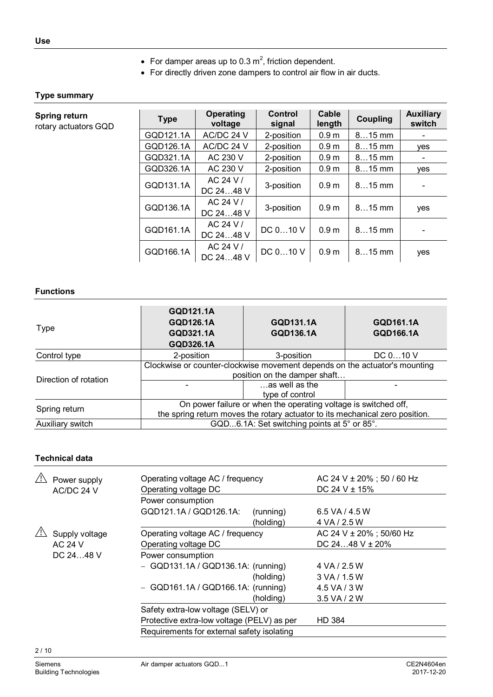- For damper areas up to 0.3  $m^2$ , friction dependent.
- · For directly driven zone dampers to control air flow in air ducts.

### **Type summary**

| Spring return<br>rotary actuators GQD | <b>Type</b> | <b>Operating</b><br>voltage | Control<br>signal | Cable<br>length  | <b>Coupling</b> | <b>Auxiliary</b><br>switch |
|---------------------------------------|-------------|-----------------------------|-------------------|------------------|-----------------|----------------------------|
|                                       | GQD121.1A   | AC/DC 24 V                  | 2-position        | 0.9 <sub>m</sub> | $815$ mm        |                            |
|                                       | GQD126.1A   | AC/DC 24 V                  | 2-position        | 0.9 <sub>m</sub> | $815$ mm        | yes                        |
|                                       | GQD321.1A   | AC 230 V                    | 2-position        | 0.9 <sub>m</sub> | $815$ mm        |                            |
|                                       | GQD326.1A   | AC 230 V                    | 2-position        | 0.9 <sub>m</sub> | $815$ mm        | <b>ves</b>                 |
|                                       | GQD131.1A   | AC 24 V /<br>DC 2448 V      | 3-position        | 0.9 <sub>m</sub> | $815$ mm        |                            |
|                                       | GQD136.1A   | AC 24 V /<br>DC 2448 V      | 3-position        | 0.9 <sub>m</sub> | $815$ mm        | yes                        |
|                                       | GQD161.1A   | AC 24 V /<br>DC 2448 V      | DC 010 V          | 0.9 <sub>m</sub> | $815$ mm        |                            |
|                                       | GQD166.1A   | AC 24 V /<br>DC 2448 V      | DC 010 V          | 0.9 <sub>m</sub> | $815$ mm        | yes                        |

#### **Functions**

| Type                  | GQD121.1A<br>GQD126.1A<br><b>GQD321.1A</b><br><b>GQD326.1A</b>                                                                                  | GQD131.1A<br>GQD136.1A            | GQD161.1A<br><b>GQD166.1A</b> |  |
|-----------------------|-------------------------------------------------------------------------------------------------------------------------------------------------|-----------------------------------|-------------------------------|--|
| Control type          | 2-position                                                                                                                                      | 3-position                        | DC 010 V                      |  |
|                       | Clockwise or counter-clockwise movement depends on the actuator's mounting<br>position on the damper shaft                                      |                                   |                               |  |
| Direction of rotation |                                                                                                                                                 | as well as the<br>type of control |                               |  |
| Spring return         | On power failure or when the operating voltage is switched off,<br>the spring return moves the rotary actuator to its mechanical zero position. |                                   |                               |  |
| Auxiliary switch      | GQD6.1A: Set switching points at 5° or 85°.                                                                                                     |                                   |                               |  |

## **Technical data**

|            | Power supply<br>AC/DC 24 V | Operating voltage AC / frequency<br>Operating voltage DC |           | AC 24 V ± 20%; 50 / 60 Hz<br>DC 24 V $\pm$ 15% |
|------------|----------------------------|----------------------------------------------------------|-----------|------------------------------------------------|
|            |                            | Power consumption                                        |           |                                                |
|            |                            | GQD121.1A / GQD126.1A:                                   | (running) | $6.5$ VA / 4.5 W                               |
|            |                            |                                                          | (holding) | 4 VA / 2.5 W                                   |
|            | Supply voltage             | Operating voltage AC / frequency                         |           | AC 24 V ± 20%; 50/60 Hz                        |
|            | <b>AC 24 V</b>             | Operating voltage DC                                     |           | DC 2448 $V \pm 20\%$                           |
| DC 24 48 V |                            | Power consumption                                        |           |                                                |
|            |                            | $-$ GQD131.1A / GQD136.1A: (running)                     |           | 4 VA / 2.5 W                                   |
|            |                            |                                                          | (holding) | 3 VA/1.5 W                                     |
|            |                            | $-$ GQD161.1A / GQD166.1A: (running)                     |           | 4.5 VA / 3 W                                   |
|            |                            |                                                          | (holding) | $3.5$ VA / 2 W                                 |
|            |                            | Safety extra-low voltage (SELV) or                       |           |                                                |
|            |                            | Protective extra-low voltage (PELV) as per               |           | <b>HD 384</b>                                  |
|            |                            | Requirements for external safety isolating               |           |                                                |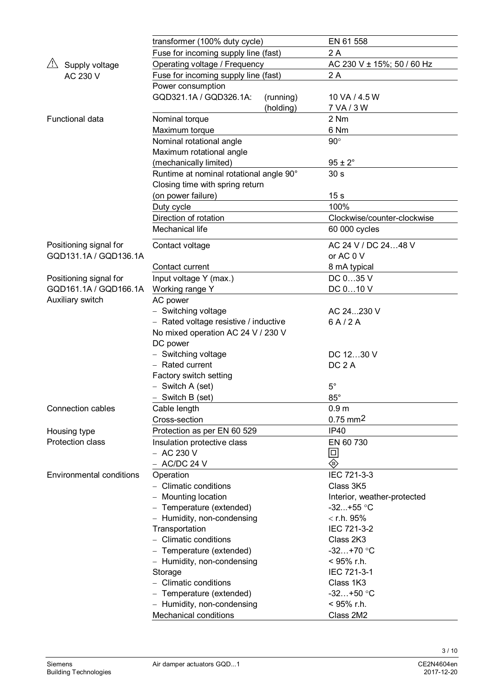|                                 | transformer (100% duty cycle)           | EN 61 558                   |  |  |  |
|---------------------------------|-----------------------------------------|-----------------------------|--|--|--|
|                                 | Fuse for incoming supply line (fast)    | 2 A                         |  |  |  |
| /<br>Supply voltage             | Operating voltage / Frequency           | AC 230 V ± 15%; 50 / 60 Hz  |  |  |  |
| AC 230 V                        | Fuse for incoming supply line (fast)    | 2 A                         |  |  |  |
|                                 | Power consumption                       |                             |  |  |  |
|                                 | GQD321.1A / GQD326.1A:<br>(running)     | 10 VA / 4.5 W               |  |  |  |
|                                 | (holding)                               | 7 VA / 3 W                  |  |  |  |
| Functional data                 | Nominal torque                          | 2 Nm                        |  |  |  |
|                                 | Maximum torque                          | 6 Nm                        |  |  |  |
|                                 | Nominal rotational angle                | $90^\circ$                  |  |  |  |
|                                 | Maximum rotational angle                |                             |  |  |  |
|                                 | (mechanically limited)                  | $95 \pm 2^{\circ}$          |  |  |  |
|                                 | Runtime at nominal rotational angle 90° | 30 <sub>s</sub>             |  |  |  |
|                                 | Closing time with spring return         |                             |  |  |  |
|                                 | (on power failure)                      | 15 <sub>s</sub>             |  |  |  |
|                                 | Duty cycle                              | 100%                        |  |  |  |
|                                 | Direction of rotation                   | Clockwise/counter-clockwise |  |  |  |
|                                 | Mechanical life                         | 60 000 cycles               |  |  |  |
|                                 |                                         |                             |  |  |  |
| Positioning signal for          | Contact voltage                         | AC 24 V / DC 2448 V         |  |  |  |
| GQD131.1A / GQD136.1A           |                                         | or AC 0 V                   |  |  |  |
|                                 | Contact current                         | 8 mA typical                |  |  |  |
| Positioning signal for          | Input voltage Y (max.)                  | DC 035 V                    |  |  |  |
| GQD161.1A / GQD166.1A           | Working range Y                         | DC 010 V                    |  |  |  |
| Auxiliary switch                | AC power                                |                             |  |  |  |
|                                 | - Switching voltage                     | AC 24230 V                  |  |  |  |
|                                 | - Rated voltage resistive / inductive   | 6A/2A                       |  |  |  |
|                                 | No mixed operation AC 24 V / 230 V      |                             |  |  |  |
|                                 | DC power                                |                             |  |  |  |
|                                 | - Switching voltage                     | DC 1230 V                   |  |  |  |
|                                 | - Rated current                         | DC <sub>2</sub> A           |  |  |  |
|                                 | Factory switch setting                  |                             |  |  |  |
|                                 | $-$ Switch A (set)                      | $5^{\circ}$                 |  |  |  |
|                                 | $-$ Switch B (set)                      | $85^\circ$                  |  |  |  |
| Connection cables               | Cable length                            | 0.9 <sub>m</sub>            |  |  |  |
|                                 | Cross-section                           | $0.75$ mm <sup>2</sup>      |  |  |  |
| Housing type                    | Protection as per EN 60 529             | <b>IP40</b>                 |  |  |  |
| Protection class                | Insulation protective class             | EN 60 730                   |  |  |  |
|                                 | $-$ AC 230 V                            | 回                           |  |  |  |
|                                 | - AC/DC 24 V                            | $\hat{\mathbb{Q}}$          |  |  |  |
| <b>Environmental conditions</b> | Operation                               | IEC 721-3-3                 |  |  |  |
|                                 | - Climatic conditions                   | Class 3K5                   |  |  |  |
|                                 | - Mounting location                     | Interior, weather-protected |  |  |  |
|                                 | - Temperature (extended)                | $-32+55$ °C                 |  |  |  |
|                                 | - Humidity, non-condensing              | $<$ r.h. 95%                |  |  |  |
|                                 | Transportation                          | IEC 721-3-2                 |  |  |  |
|                                 | - Climatic conditions                   | Class 2K3                   |  |  |  |
|                                 | - Temperature (extended)                | $-32+70$ °C                 |  |  |  |
|                                 | - Humidity, non-condensing              | < 95% r.h.                  |  |  |  |
|                                 | Storage                                 | IEC 721-3-1                 |  |  |  |
|                                 | - Climatic conditions                   | Class 1K3                   |  |  |  |
|                                 | - Temperature (extended)                | $-32+50$ °C                 |  |  |  |
|                                 | - Humidity, non-condensing              | $<$ 95% r.h.                |  |  |  |
|                                 | <b>Mechanical conditions</b>            | Class 2M2                   |  |  |  |

3 / 10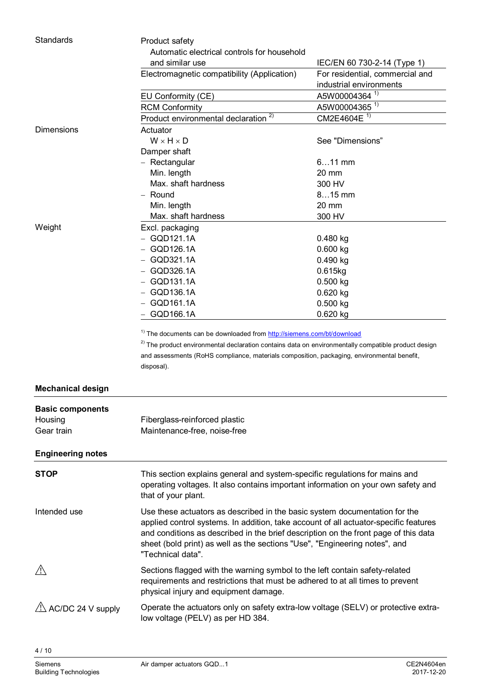| Standards                    | Product safety                                                                                                          |                                 |  |  |  |
|------------------------------|-------------------------------------------------------------------------------------------------------------------------|---------------------------------|--|--|--|
|                              | Automatic electrical controls for household                                                                             |                                 |  |  |  |
|                              | and similar use                                                                                                         | IEC/EN 60 730-2-14 (Type 1)     |  |  |  |
|                              | Electromagnetic compatibility (Application)                                                                             | For residential, commercial and |  |  |  |
|                              |                                                                                                                         | industrial environments         |  |  |  |
|                              | EU Conformity (CE)                                                                                                      | A5W00004364 <sup>1)</sup>       |  |  |  |
|                              | <b>RCM Conformity</b>                                                                                                   | A5W00004365 <sup>1)</sup>       |  |  |  |
|                              | Product environmental declaration <sup>2)</sup>                                                                         | CM2E4604E <sup>1)</sup>         |  |  |  |
| <b>Dimensions</b>            | Actuator                                                                                                                |                                 |  |  |  |
|                              | $W \times H \times D$                                                                                                   | See "Dimensions"                |  |  |  |
|                              | Damper shaft                                                                                                            |                                 |  |  |  |
|                              | - Rectangular                                                                                                           | $611$ mm                        |  |  |  |
|                              | Min. length                                                                                                             | 20 mm                           |  |  |  |
|                              | Max. shaft hardness                                                                                                     | 300 HV                          |  |  |  |
|                              | - Round                                                                                                                 | $815$ mm                        |  |  |  |
|                              | Min. length                                                                                                             | 20 mm                           |  |  |  |
|                              | Max. shaft hardness                                                                                                     | 300 HV                          |  |  |  |
| Weight                       | Excl. packaging                                                                                                         |                                 |  |  |  |
|                              | $-$ GQD121.1A                                                                                                           | 0.480 kg                        |  |  |  |
|                              | $-$ GQD126.1A                                                                                                           | $0.600$ kg                      |  |  |  |
|                              | GQD321.1A                                                                                                               | $0.490$ kg                      |  |  |  |
|                              | GQD326.1A                                                                                                               | 0.615kg                         |  |  |  |
|                              | $-$ GQD131.1A                                                                                                           | $0.500$ kg                      |  |  |  |
|                              | $-$ GQD136.1A                                                                                                           | 0.620 kg                        |  |  |  |
|                              | $-$ GQD161.1A                                                                                                           | $0.500$ kg                      |  |  |  |
|                              | GQD166.1A                                                                                                               | 0.620 kg                        |  |  |  |
|                              |                                                                                                                         |                                 |  |  |  |
|                              |                                                                                                                         |                                 |  |  |  |
|                              | <sup>1)</sup> The documents can be downloaded from http://siemens.com/bt/download                                       |                                 |  |  |  |
|                              | <sup>2)</sup> The product environmental declaration contains data on environmentally compatible product design          |                                 |  |  |  |
|                              | and assessments (RoHS compliance, materials composition, packaging, environmental benefit,                              |                                 |  |  |  |
|                              | disposal).                                                                                                              |                                 |  |  |  |
| <b>Mechanical design</b>     |                                                                                                                         |                                 |  |  |  |
|                              |                                                                                                                         |                                 |  |  |  |
| <b>Basic components</b>      |                                                                                                                         |                                 |  |  |  |
| Housing                      | Fiberglass-reinforced plastic                                                                                           |                                 |  |  |  |
| Gear train                   | Maintenance-free, noise-free                                                                                            |                                 |  |  |  |
| <b>Engineering notes</b>     |                                                                                                                         |                                 |  |  |  |
| <b>STOP</b>                  | This section explains general and system-specific regulations for mains and                                             |                                 |  |  |  |
|                              | operating voltages. It also contains important information on your own safety and                                       |                                 |  |  |  |
|                              | that of your plant.                                                                                                     |                                 |  |  |  |
| Intended use                 | Use these actuators as described in the basic system documentation for the                                              |                                 |  |  |  |
|                              | applied control systems. In addition, take account of all actuator-specific features                                    |                                 |  |  |  |
|                              | and conditions as described in the brief description on the front page of this data                                     |                                 |  |  |  |
|                              | sheet (bold print) as well as the sections "Use", "Engineering notes", and                                              |                                 |  |  |  |
|                              | "Technical data".                                                                                                       |                                 |  |  |  |
|                              |                                                                                                                         |                                 |  |  |  |
| <u>/i\</u>                   | Sections flagged with the warning symbol to the left contain safety-related                                             |                                 |  |  |  |
|                              | requirements and restrictions that must be adhered to at all times to prevent                                           |                                 |  |  |  |
|                              | physical injury and equipment damage.                                                                                   |                                 |  |  |  |
| $\sqrt{1}$ AC/DC 24 V supply | Operate the actuators only on safety extra-low voltage (SELV) or protective extra-<br>low voltage (PELV) as per HD 384. |                                 |  |  |  |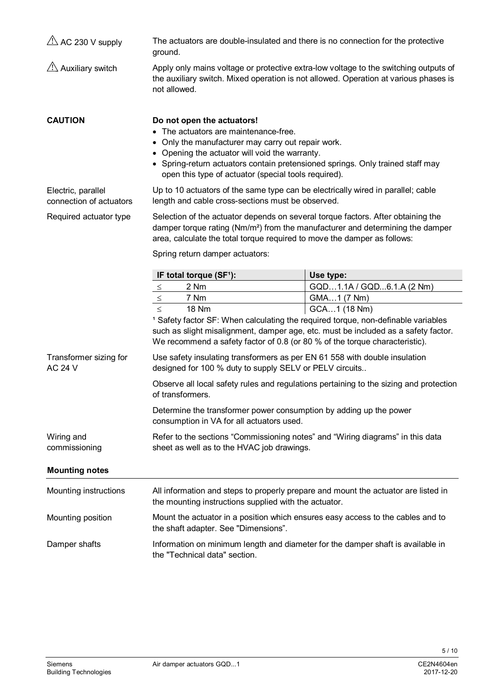| $\overline{\triangle}$ AC 230 V supply        | The actuators are double-insulated and there is no connection for the protective<br>ground.                                                                                                                                                                                                                           |                           |  |  |
|-----------------------------------------------|-----------------------------------------------------------------------------------------------------------------------------------------------------------------------------------------------------------------------------------------------------------------------------------------------------------------------|---------------------------|--|--|
| $\sqrt{2}$ Auxiliary switch                   | Apply only mains voltage or protective extra-low voltage to the switching outputs of<br>the auxiliary switch. Mixed operation is not allowed. Operation at various phases is<br>not allowed.                                                                                                                          |                           |  |  |
| <b>CAUTION</b>                                | Do not open the actuators!<br>• The actuators are maintenance-free.<br>• Only the manufacturer may carry out repair work.<br>• Opening the actuator will void the warranty.<br>• Spring-return actuators contain pretensioned springs. Only trained staff may<br>open this type of actuator (special tools required). |                           |  |  |
| Electric, parallel<br>connection of actuators | Up to 10 actuators of the same type can be electrically wired in parallel; cable<br>length and cable cross-sections must be observed.                                                                                                                                                                                 |                           |  |  |
| Required actuator type                        | Selection of the actuator depends on several torque factors. After obtaining the<br>damper torque rating (Nm/m <sup>2</sup> ) from the manufacturer and determining the damper<br>area, calculate the total torque required to move the damper as follows:                                                            |                           |  |  |
|                                               | Spring return damper actuators:                                                                                                                                                                                                                                                                                       |                           |  |  |
|                                               | IF total torque (SF <sup>1</sup> ):                                                                                                                                                                                                                                                                                   | Use type:                 |  |  |
|                                               | 2 Nm<br>$\leq$                                                                                                                                                                                                                                                                                                        | GQD1.1A / GQD6.1.A (2 Nm) |  |  |
|                                               | 7 Nm<br>$\leq$                                                                                                                                                                                                                                                                                                        | GMA1 (7 Nm)               |  |  |
|                                               | <b>18 Nm</b><br>GCA1 (18 Nm)<br>$\leq$<br><sup>1</sup> Safety factor SF: When calculating the required torque, non-definable variables<br>such as slight misalignment, damper age, etc. must be included as a safety factor.<br>We recommend a safety factor of 0.8 (or 80 % of the torque characteristic).           |                           |  |  |
| Transformer sizing for<br><b>AC 24 V</b>      | Use safety insulating transformers as per EN 61 558 with double insulation<br>designed for 100 % duty to supply SELV or PELV circuits                                                                                                                                                                                 |                           |  |  |
|                                               | Observe all local safety rules and regulations pertaining to the sizing and protection<br>of transformers.                                                                                                                                                                                                            |                           |  |  |
|                                               | Determine the transformer power consumption by adding up the power<br>consumption in VA for all actuators used.                                                                                                                                                                                                       |                           |  |  |
| Wiring and<br>commissioning                   | Refer to the sections "Commissioning notes" and "Wiring diagrams" in this data<br>sheet as well as to the HVAC job drawings.                                                                                                                                                                                          |                           |  |  |
| <b>Mounting notes</b>                         |                                                                                                                                                                                                                                                                                                                       |                           |  |  |
| Mounting instructions                         | All information and steps to properly prepare and mount the actuator are listed in<br>the mounting instructions supplied with the actuator.                                                                                                                                                                           |                           |  |  |
| Mounting position                             | Mount the actuator in a position which ensures easy access to the cables and to<br>the shaft adapter. See "Dimensions".                                                                                                                                                                                               |                           |  |  |
| Damper shafts                                 | Information on minimum length and diameter for the damper shaft is available in<br>the "Technical data" section.                                                                                                                                                                                                      |                           |  |  |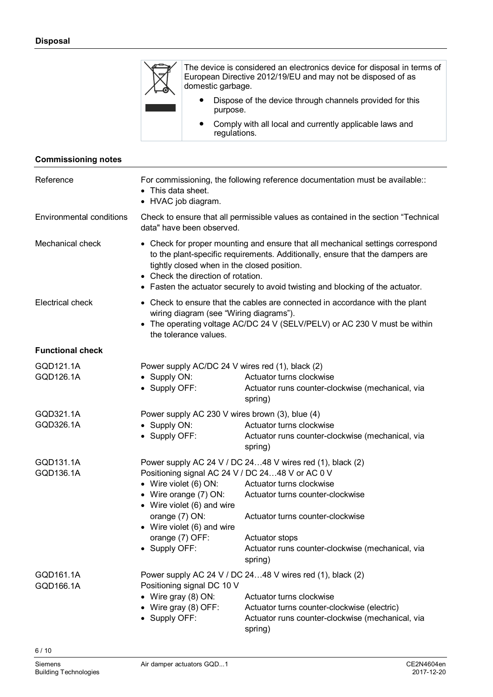

The device is considered an electronics device for disposal in terms of European Directive 2012/19/EU and may not be disposed of as domestic garbage.

- Dispose of the device through channels provided for this purpose.
- Comply with all local and currently applicable laws and regulations.

#### **Commissioning notes**

| Reference                       | For commissioning, the following reference documentation must be available::<br>This data sheet.<br>• HVAC job diagram.                                                                                                                                                                                                                |                                                                                                                                                                                                                                                       |  |
|---------------------------------|----------------------------------------------------------------------------------------------------------------------------------------------------------------------------------------------------------------------------------------------------------------------------------------------------------------------------------------|-------------------------------------------------------------------------------------------------------------------------------------------------------------------------------------------------------------------------------------------------------|--|
| <b>Environmental conditions</b> | Check to ensure that all permissible values as contained in the section "Technical"<br>data" have been observed.                                                                                                                                                                                                                       |                                                                                                                                                                                                                                                       |  |
| Mechanical check                | • Check for proper mounting and ensure that all mechanical settings correspond<br>to the plant-specific requirements. Additionally, ensure that the dampers are<br>tightly closed when in the closed position.<br>• Check the direction of rotation.<br>• Fasten the actuator securely to avoid twisting and blocking of the actuator. |                                                                                                                                                                                                                                                       |  |
| Electrical check                | • Check to ensure that the cables are connected in accordance with the plant<br>wiring diagram (see "Wiring diagrams").<br>• The operating voltage AC/DC 24 V (SELV/PELV) or AC 230 V must be within<br>the tolerance values.                                                                                                          |                                                                                                                                                                                                                                                       |  |
| <b>Functional check</b>         |                                                                                                                                                                                                                                                                                                                                        |                                                                                                                                                                                                                                                       |  |
| GQD121.1A<br>GQD126.1A          | Power supply AC/DC 24 V wires red (1), black (2)<br>• Supply ON:<br>• Supply OFF:                                                                                                                                                                                                                                                      | Actuator turns clockwise<br>Actuator runs counter-clockwise (mechanical, via<br>spring)                                                                                                                                                               |  |
| GQD321.1A<br>GQD326.1A          | Power supply AC 230 V wires brown (3), blue (4)<br>Actuator turns clockwise<br>• Supply ON:<br>• Supply OFF:<br>Actuator runs counter-clockwise (mechanical, via<br>spring)                                                                                                                                                            |                                                                                                                                                                                                                                                       |  |
| GQD131.1A<br>GQD136.1A          | Positioning signal AC 24 V / DC 2448 V or AC 0 V<br>• Wire violet $(6)$ ON:<br>• Wire orange (7) ON:<br>• Wire violet (6) and wire<br>orange (7) ON:<br>• Wire violet (6) and wire<br>orange (7) OFF:<br>• Supply OFF:                                                                                                                 | Power supply AC 24 V / DC 2448 V wires red (1), black (2)<br>Actuator turns clockwise<br>Actuator turns counter-clockwise<br>Actuator turns counter-clockwise<br><b>Actuator stops</b><br>Actuator runs counter-clockwise (mechanical, via<br>spring) |  |
| GQD161.1A<br>GQD166.1A          | Positioning signal DC 10 V<br>• Wire gray $(8)$ ON:<br>Wire gray (8) OFF:<br>• Supply OFF:                                                                                                                                                                                                                                             | Power supply AC 24 V / DC 2448 V wires red (1), black (2)<br>Actuator turns clockwise<br>Actuator turns counter-clockwise (electric)<br>Actuator runs counter-clockwise (mechanical, via<br>spring)                                                   |  |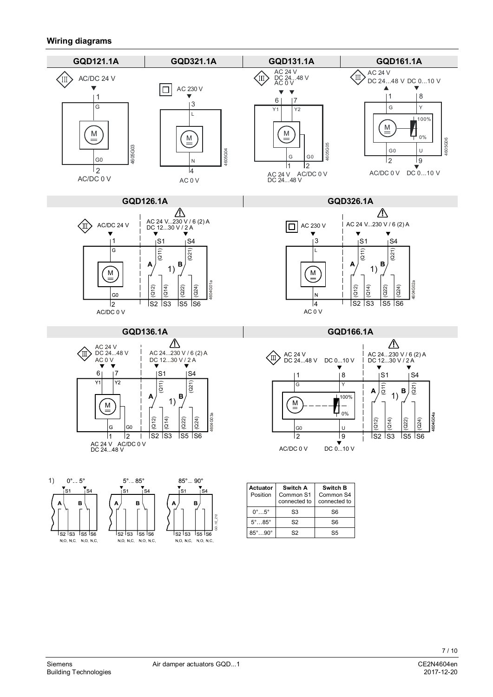#### **Wiring diagrams**



85°…90° S2 S5

<u>Iszlsa Issise</u>

NONC NONC

1s2 Is3 Is5 Is6

NONC NONC

<u>Isa Isa Isa Isa</u>

NONC NONC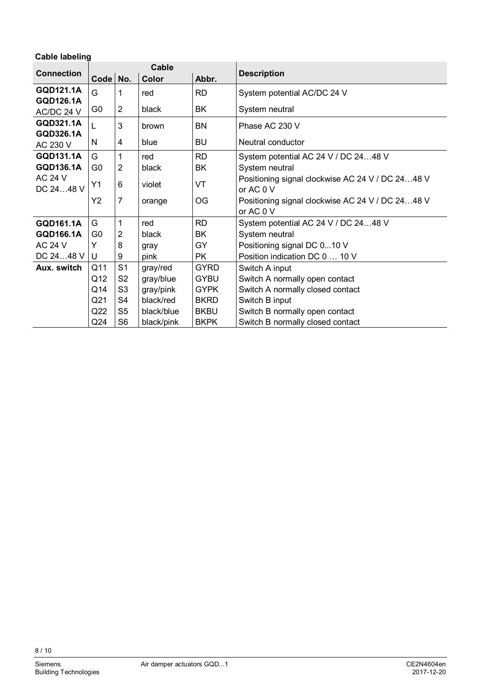| <b>Cable labeling</b>          |                |                |                    |             |                                                               |
|--------------------------------|----------------|----------------|--------------------|-------------|---------------------------------------------------------------|
| Cable<br><b>Connection</b>     |                |                | <b>Description</b> |             |                                                               |
|                                | Code           | No.            | Color              | Abbr.       |                                                               |
| GQD121.1A                      | G              | 1              | red                | <b>RD</b>   | System potential AC/DC 24 V                                   |
| <b>GQD126.1A</b><br>AC/DC 24 V | G <sub>0</sub> | $\overline{2}$ | black              | <b>BK</b>   | System neutral                                                |
| GQD321.1A<br><b>GQD326.1A</b>  | L              | 3              | brown              | <b>BN</b>   | Phase AC 230 V                                                |
| AC 230 V                       | N              | 4              | blue               | <b>BU</b>   | Neutral conductor                                             |
| GQD131.1A                      | G              | 1              | red                | <b>RD</b>   | System potential AC 24 V / DC 2448 V                          |
| GQD136.1A                      | G <sub>0</sub> | 2              | black              | BK          | System neutral                                                |
| <b>AC 24 V</b><br>DC 2448 V    | Y1             | 6              | violet             | VT          | Positioning signal clockwise AC 24 V / DC 2448 V<br>or AC 0 V |
|                                | Y2             | 7              | orange             | <b>OG</b>   | Positioning signal clockwise AC 24 V / DC 2448 V<br>or AC 0 V |
| GQD161.1A                      | G              | 1              | red                | <b>RD</b>   | System potential AC 24 V / DC 2448 V                          |
| GQD166.1A                      | G0             | 2              | black              | BK          | System neutral                                                |
| <b>AC 24 V</b>                 | Y              | 8              | gray               | GY          | Positioning signal DC 010 V                                   |
| DC 2448 V                      | U              | 9              | pink               | <b>PK</b>   | Position indication DC 0  10 V                                |
| Aux. switch                    | Q11            | S <sub>1</sub> | gray/red           | <b>GYRD</b> | Switch A input                                                |
|                                | Q12            | S <sub>2</sub> | gray/blue          | <b>GYBU</b> | Switch A normally open contact                                |
|                                | Q14            | S3             | gray/pink          | <b>GYPK</b> | Switch A normally closed contact                              |
|                                | Q21            | S4             | black/red          | <b>BKRD</b> | Switch B input                                                |
|                                | Q22            | S5             | black/blue         | <b>BKBU</b> | Switch B normally open contact                                |
|                                | Q24            | S <sub>6</sub> | black/pink         | <b>BKPK</b> | Switch B normally closed contact                              |

8 / 10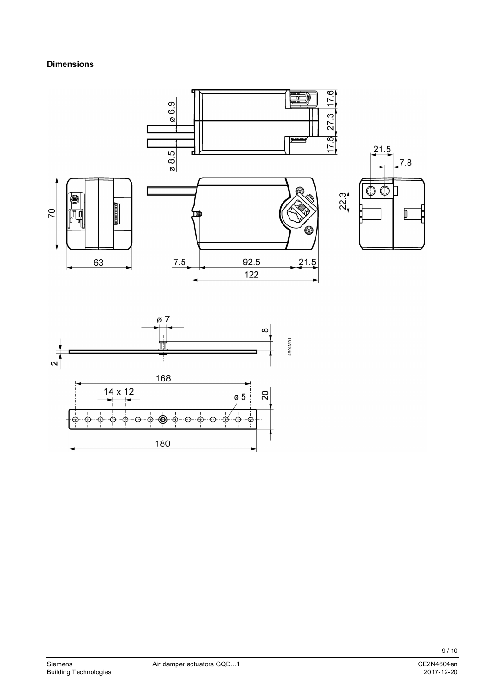